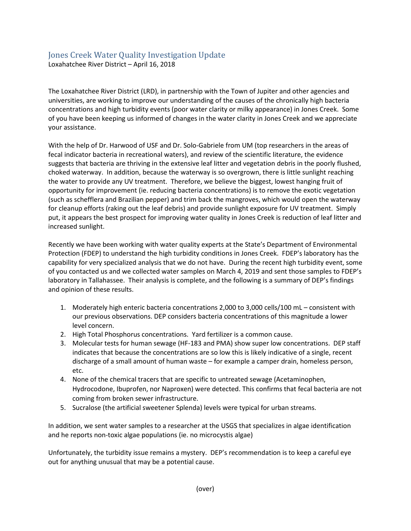## Jones Creek Water Quality Investigation Update

Loxahatchee River District – April 16, 2018

The Loxahatchee River District (LRD), in partnership with the Town of Jupiter and other agencies and universities, are working to improve our understanding of the causes of the chronically high bacteria concentrations and high turbidity events (poor water clarity or milky appearance) in Jones Creek. Some of you have been keeping us informed of changes in the water clarity in Jones Creek and we appreciate your assistance.

With the help of Dr. Harwood of USF and Dr. Solo-Gabriele from UM (top researchers in the areas of fecal indicator bacteria in recreational waters), and review of the scientific literature, the evidence suggests that bacteria are thriving in the extensive leaf litter and vegetation debris in the poorly flushed, choked waterway. In addition, because the waterway is so overgrown, there is little sunlight reaching the water to provide any UV treatment. Therefore, we believe the biggest, lowest hanging fruit of opportunity for improvement (ie. reducing bacteria concentrations) is to remove the exotic vegetation (such as schefflera and Brazilian pepper) and trim back the mangroves, which would open the waterway for cleanup efforts (raking out the leaf debris) and provide sunlight exposure for UV treatment. Simply put, it appears the best prospect for improving water quality in Jones Creek is reduction of leaf litter and increased sunlight.

Recently we have been working with water quality experts at the State's Department of Environmental Protection (FDEP) to understand the high turbidity conditions in Jones Creek. FDEP's laboratory has the capability for very specialized analysis that we do not have. During the recent high turbidity event, some of you contacted us and we collected water samples on March 4, 2019 and sent those samples to FDEP's laboratory in Tallahassee. Their analysis is complete, and the following is a summary of DEP's findings and opinion of these results.

- 1. Moderately high enteric bacteria concentrations 2,000 to 3,000 cells/100 mL consistent with our previous observations. DEP considers bacteria concentrations of this magnitude a lower level concern.
- 2. High Total Phosphorus concentrations. Yard fertilizer is a common cause.
- 3. Molecular tests for human sewage (HF-183 and PMA) show super low concentrations. DEP staff indicates that because the concentrations are so low this is likely indicative of a single, recent discharge of a small amount of human waste – for example a camper drain, homeless person, etc.
- 4. None of the chemical tracers that are specific to untreated sewage (Acetaminophen, Hydrocodone, Ibuprofen, nor Naproxen) were detected. This confirms that fecal bacteria are not coming from broken sewer infrastructure.
- 5. Sucralose (the artificial sweetener Splenda) levels were typical for urban streams.

In addition, we sent water samples to a researcher at the USGS that specializes in algae identification and he reports non-toxic algae populations (ie. no microcystis algae)

Unfortunately, the turbidity issue remains a mystery. DEP's recommendation is to keep a careful eye out for anything unusual that may be a potential cause.